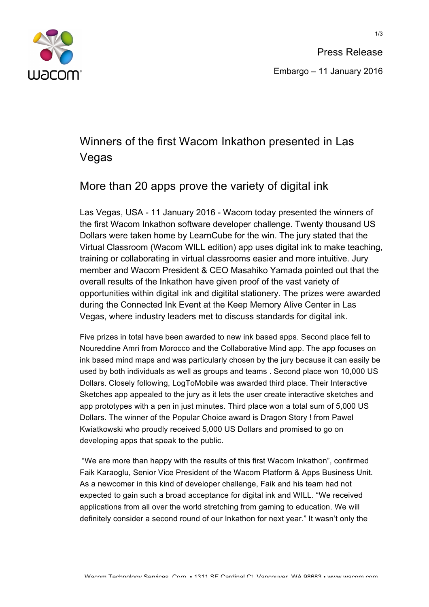

Press Release Embargo – 11 January 2016

## Winners of the first Wacom Inkathon presented in Las Vegas

## More than 20 apps prove the variety of digital ink

Las Vegas, USA - 11 January 2016 - Wacom today presented the winners of the first Wacom Inkathon software developer challenge. Twenty thousand US Dollars were taken home by LearnCube for the win. The jury stated that the Virtual Classroom (Wacom WILL edition) app uses digital ink to make teaching, training or collaborating in virtual classrooms easier and more intuitive. Jury member and Wacom President & CEO Masahiko Yamada pointed out that the overall results of the Inkathon have given proof of the vast variety of opportunities within digital ink and digitital stationery. The prizes were awarded during the Connected Ink Event at the Keep Memory Alive Center in Las Vegas, where industry leaders met to discuss standards for digital ink.

Five prizes in total have been awarded to new ink based apps. Second place fell to Noureddine Amri from Morocco and the Collaborative Mind app. The app focuses on ink based mind maps and was particularly chosen by the jury because it can easily be used by both individuals as well as groups and teams . Second place won 10,000 US Dollars. Closely following, LogToMobile was awarded third place. Their Interactive Sketches app appealed to the jury as it lets the user create interactive sketches and app prototypes with a pen in just minutes. Third place won a total sum of 5,000 US Dollars. The winner of the Popular Choice award is Dragon Story ! from Pawel Kwiatkowski who proudly received 5,000 US Dollars and promised to go on developing apps that speak to the public.

"We are more than happy with the results of this first Wacom Inkathon", confirmed Faik Karaoglu, Senior Vice President of the Wacom Platform & Apps Business Unit. As a newcomer in this kind of developer challenge, Faik and his team had not expected to gain such a broad acceptance for digital ink and WILL. "We received applications from all over the world stretching from gaming to education. We will definitely consider a second round of our Inkathon for next year." It wasn't only the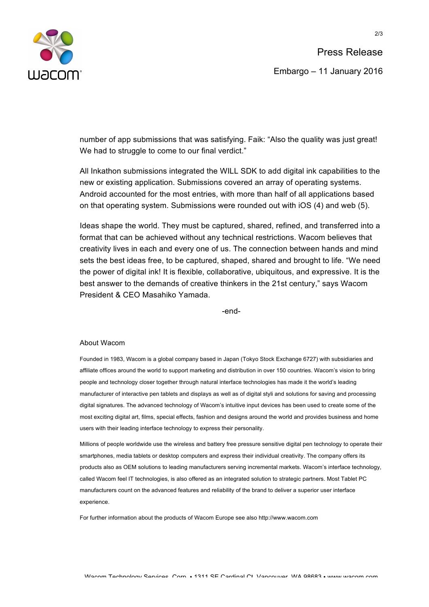

2/3

number of app submissions that was satisfying. Faik: "Also the quality was just great! We had to struggle to come to our final verdict."

All Inkathon submissions integrated the WILL SDK to add digital ink capabilities to the new or existing application. Submissions covered an array of operating systems. Android accounted for the most entries, with more than half of all applications based on that operating system. Submissions were rounded out with iOS (4) and web (5).

Ideas shape the world. They must be captured, shared, refined, and transferred into a format that can be achieved without any technical restrictions. Wacom believes that creativity lives in each and every one of us. The connection between hands and mind sets the best ideas free, to be captured, shaped, shared and brought to life. "We need the power of digital ink! It is flexible, collaborative, ubiquitous, and expressive. It is the best answer to the demands of creative thinkers in the 21st century," says Wacom President & CEO Masahiko Yamada.

-end-

## About Wacom

Founded in 1983, Wacom is a global company based in Japan (Tokyo Stock Exchange 6727) with subsidiaries and affiliate offices around the world to support marketing and distribution in over 150 countries. Wacom's vision to bring people and technology closer together through natural interface technologies has made it the world's leading manufacturer of interactive pen tablets and displays as well as of digital styli and solutions for saving and processing digital signatures. The advanced technology of Wacom's intuitive input devices has been used to create some of the most exciting digital art, films, special effects, fashion and designs around the world and provides business and home users with their leading interface technology to express their personality.

Millions of people worldwide use the wireless and battery free pressure sensitive digital pen technology to operate their smartphones, media tablets or desktop computers and express their individual creativity. The company offers its products also as OEM solutions to leading manufacturers serving incremental markets. Wacom's interface technology, called Wacom feel IT technologies, is also offered as an integrated solution to strategic partners. Most Tablet PC manufacturers count on the advanced features and reliability of the brand to deliver a superior user interface experience.

For further information about the products of Wacom Europe see also http://www.wacom.com